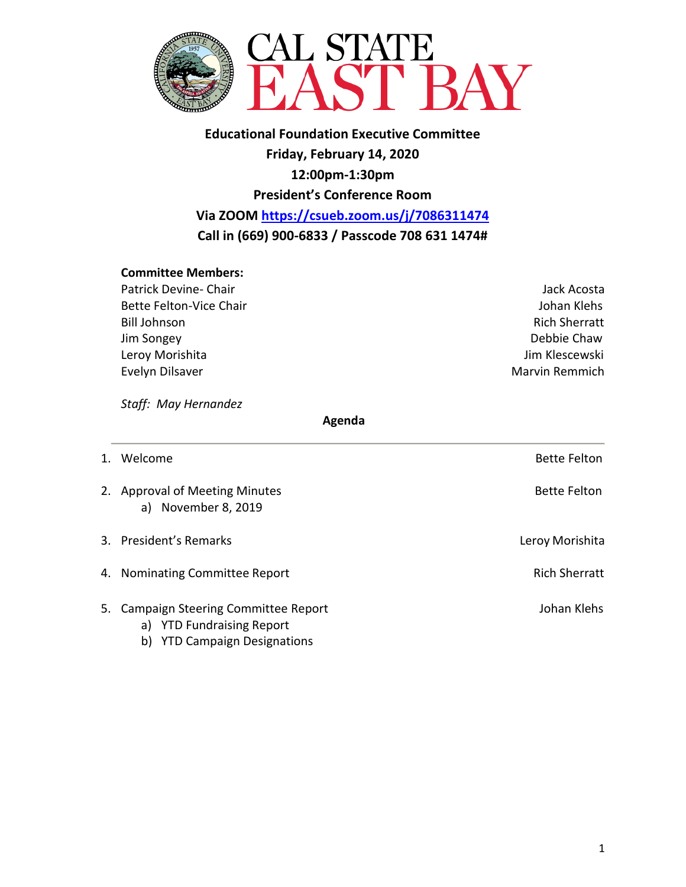

**Educational Foundation Executive Committee Friday, February 14, 2020 12:00pm-1:30pm President's Conference Room Via ZOOM https://csueb.zoom.us/j/7086311474 Call in (669) 900-6833 / Passcode 708 631 1474#**

## **Committee Members:**

- Patrick Devine- Chair **Value 2018** and 2018 and 2019 and 2019 and 30 Jack Acosta Bette Felton-Vice Chair **Johan Klehs** Johan Klehs Bill Johnson Rich Sherratt Jim Songey Debbie Chaw Leroy Morishita **Jim Klescewski** Evelyn Dilsaver **Marvin Remmich**
- 

*Staff: May Hernandez* 

## **Agenda**

| 1. Welcome                                                         | <b>Bette Felton</b>  |
|--------------------------------------------------------------------|----------------------|
| 2. Approval of Meeting Minutes<br>a) November 8, 2019              | Bette Felton         |
| 3. President's Remarks                                             | Leroy Morishita      |
| 4. Nominating Committee Report                                     | <b>Rich Sherratt</b> |
| 5. Campaign Steering Committee Report<br>a) YTD Fundraising Report | Johan Klehs          |

b) YTD Campaign Designations